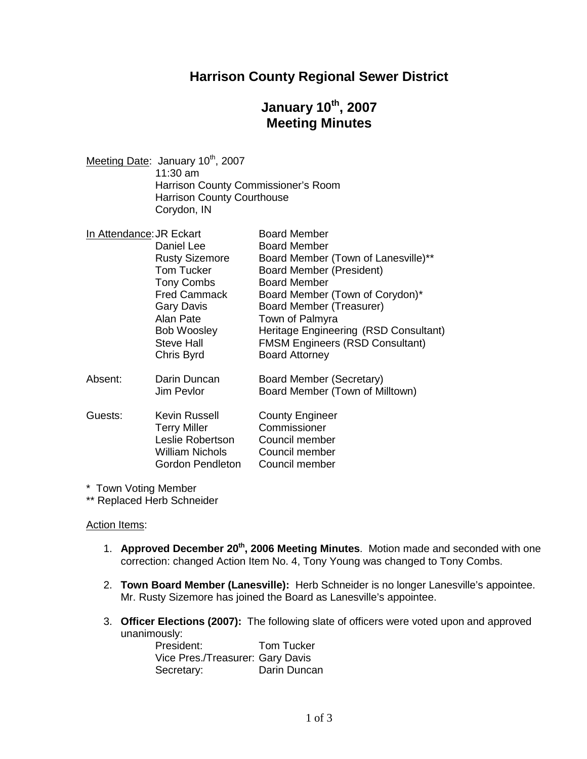### **Harrison County Regional Sewer District**

# **January 10th, 2007 Meeting Minutes**

Meeting Date: January 10<sup>th</sup>, 2007 11:30 am Harrison County Commissioner's Room Harrison County Courthouse Corydon, IN

| In Attendance: JR Eckart |                       | <b>Board Member</b>                    |
|--------------------------|-----------------------|----------------------------------------|
|                          | Daniel Lee            | <b>Board Member</b>                    |
|                          | <b>Rusty Sizemore</b> | Board Member (Town of Lanesville)**    |
|                          | <b>Tom Tucker</b>     | <b>Board Member (President)</b>        |
|                          | <b>Tony Combs</b>     | <b>Board Member</b>                    |
|                          | <b>Fred Cammack</b>   | Board Member (Town of Corydon)*        |
|                          | <b>Gary Davis</b>     | Board Member (Treasurer)               |
|                          | Alan Pate             | Town of Palmyra                        |
|                          | <b>Bob Woosley</b>    | Heritage Engineering (RSD Consultant)  |
|                          | <b>Steve Hall</b>     | <b>FMSM Engineers (RSD Consultant)</b> |
|                          | Chris Byrd            | <b>Board Attorney</b>                  |
| Absent:                  | Darin Duncan          | Board Member (Secretary)               |
|                          | Jim Pevlor            | Board Member (Town of Milltown)        |
| Guests:                  | Kevin Russell         | <b>County Engineer</b>                 |
|                          | <b>Terry Miller</b>   | Commissioner                           |
|                          | Leslie Robertson      | Council member                         |
|                          | William Nichols       | Council member                         |
|                          | Gordon Pendleton      | Council member                         |

\* Town Voting Member

\*\* Replaced Herb Schneider

Action Items:

- 1. **Approved December 20th , 2006 Meeting Minutes**. Motion made and seconded with one correction: changed Action Item No. 4, Tony Young was changed to Tony Combs.
- 2. **Town Board Member (Lanesville):** Herb Schneider is no longer Lanesville's appointee. Mr. Rusty Sizemore has joined the Board as Lanesville's appointee.
- 3. **Officer Elections (2007):** The following slate of officers were voted upon and approved unanimously:

President: Tom Tucker Vice Pres./Treasurer: Gary Davis Secretary: Darin Duncan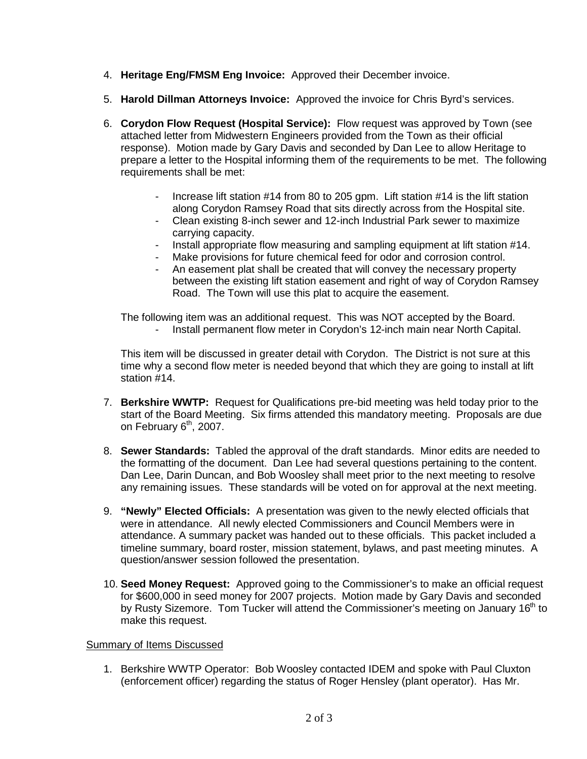- 4. **Heritage Eng/FMSM Eng Invoice:** Approved their December invoice.
- 5. **Harold Dillman Attorneys Invoice:** Approved the invoice for Chris Byrd's services.
- 6. **Corydon Flow Request (Hospital Service):** Flow request was approved by Town (see attached letter from Midwestern Engineers provided from the Town as their official response). Motion made by Gary Davis and seconded by Dan Lee to allow Heritage to prepare a letter to the Hospital informing them of the requirements to be met. The following requirements shall be met:
	- Increase lift station #14 from 80 to 205 gpm. Lift station #14 is the lift station along Corydon Ramsey Road that sits directly across from the Hospital site.
	- Clean existing 8-inch sewer and 12-inch Industrial Park sewer to maximize carrying capacity.
	- Install appropriate flow measuring and sampling equipment at lift station #14.
	- Make provisions for future chemical feed for odor and corrosion control.
	- An easement plat shall be created that will convey the necessary property between the existing lift station easement and right of way of Corydon Ramsey Road. The Town will use this plat to acquire the easement.

The following item was an additional request. This was NOT accepted by the Board. Install permanent flow meter in Corydon's 12-inch main near North Capital.

This item will be discussed in greater detail with Corydon. The District is not sure at this time why a second flow meter is needed beyond that which they are going to install at lift station #14.

- 7. **Berkshire WWTP:** Request for Qualifications pre-bid meeting was held today prior to the start of the Board Meeting. Six firms attended this mandatory meeting. Proposals are due on February  $6<sup>th</sup>$ , 2007.
- 8. **Sewer Standards:** Tabled the approval of the draft standards. Minor edits are needed to the formatting of the document. Dan Lee had several questions pertaining to the content. Dan Lee, Darin Duncan, and Bob Woosley shall meet prior to the next meeting to resolve any remaining issues. These standards will be voted on for approval at the next meeting.
- 9. **"Newly" Elected Officials:** A presentation was given to the newly elected officials that were in attendance. All newly elected Commissioners and Council Members were in attendance. A summary packet was handed out to these officials. This packet included a timeline summary, board roster, mission statement, bylaws, and past meeting minutes. A question/answer session followed the presentation.
- 10. **Seed Money Request:** Approved going to the Commissioner's to make an official request for \$600,000 in seed money for 2007 projects. Motion made by Gary Davis and seconded by Rusty Sizemore. Tom Tucker will attend the Commissioner's meeting on January 16<sup>th</sup> to make this request.

#### Summary of Items Discussed

1. Berkshire WWTP Operator: Bob Woosley contacted IDEM and spoke with Paul Cluxton (enforcement officer) regarding the status of Roger Hensley (plant operator). Has Mr.